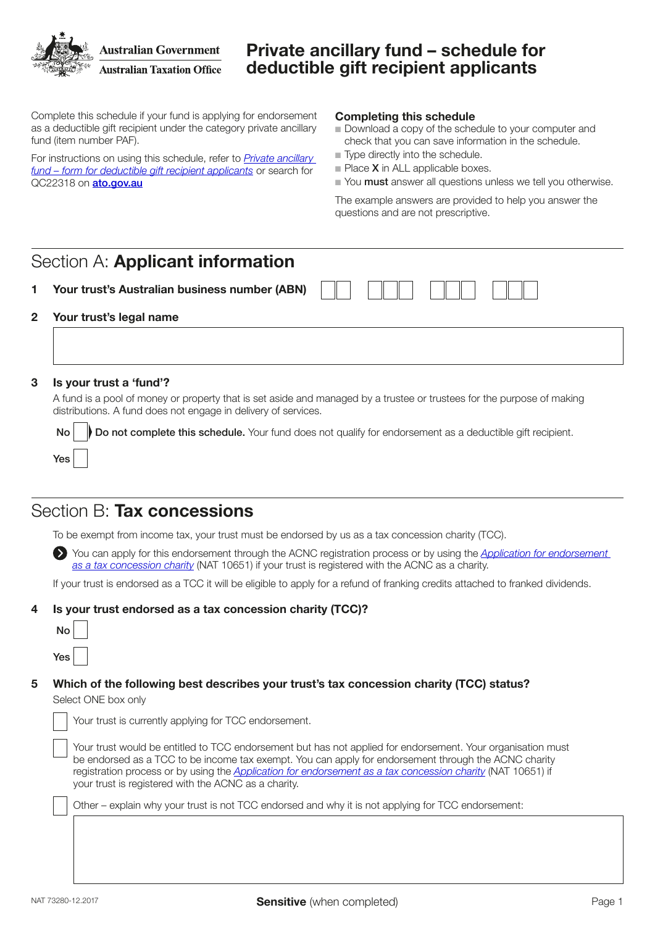

# Private ancillary fund – schedule for deductible gift recipient applicants

Complete this schedule if your fund is applying for endorsement as a deductible gift recipient under the category private ancillary fund (item number PAF).

For instructions on using this schedule, refer to *[Private ancillary](https://www.ato.gov.au/non-profit/getting-started/in-detail/dgr-schedules/private-ancillary-fund---schedule-for-deductible-gift-recipient-applicants/)  [fund – form for deductible gift recipient applicants](https://www.ato.gov.au/non-profit/getting-started/in-detail/dgr-schedules/private-ancillary-fund---schedule-for-deductible-gift-recipient-applicants/)* or search for QC22318 on [ato.gov.au](http://ato.gov.au)

#### Completing this schedule

- Download a copy of the schedule to your computer and check that you can save information in the schedule.
- $\blacksquare$  Type directly into the schedule.
- $\blacksquare$  Place **X** in ALL applicable boxes.
- Nou must answer all questions unless we tell you otherwise.

The example answers are provided to help you answer the questions and are not prescriptive.

## Section A: Applicant information

Your trust's Australian business number (ABN)

#### 2 Your trust's legal name

#### 3 Is your trust a 'fund'?

A fund is a pool of money or property that is set aside and managed by a trustee or trustees for the purpose of making distributions. A fund does not engage in delivery of services.

No Do not complete this schedule. Your fund does not qualify for endorsement as a deductible gift recipient.

### Section B: Tax concessions

To be exempt from income tax, your trust must be endorsed by us as a tax concession charity (TCC).

 You can apply for this endorsement through the ACNC registration process or by using the *[Application for endorsement](https://www.ato.gov.au/forms/application-for-endorsement-as-a-tax-concession-charity/?)*  [as a tax concession charity](https://www.ato.gov.au/forms/application-for-endorsement-as-a-tax-concession-charity/?) (NAT 10651) if your trust is registered with the ACNC as a charity.

If your trust is endorsed as a TCC it will be eligible to apply for a refund of franking credits attached to franked dividends.

### 4 Is your trust endorsed as a tax concession charity (TCC)?

| J   |  |
|-----|--|
| Yes |  |

Yes

### 5 Which of the following best describes your trust's tax concession charity (TCC) status?

Select ONE box only

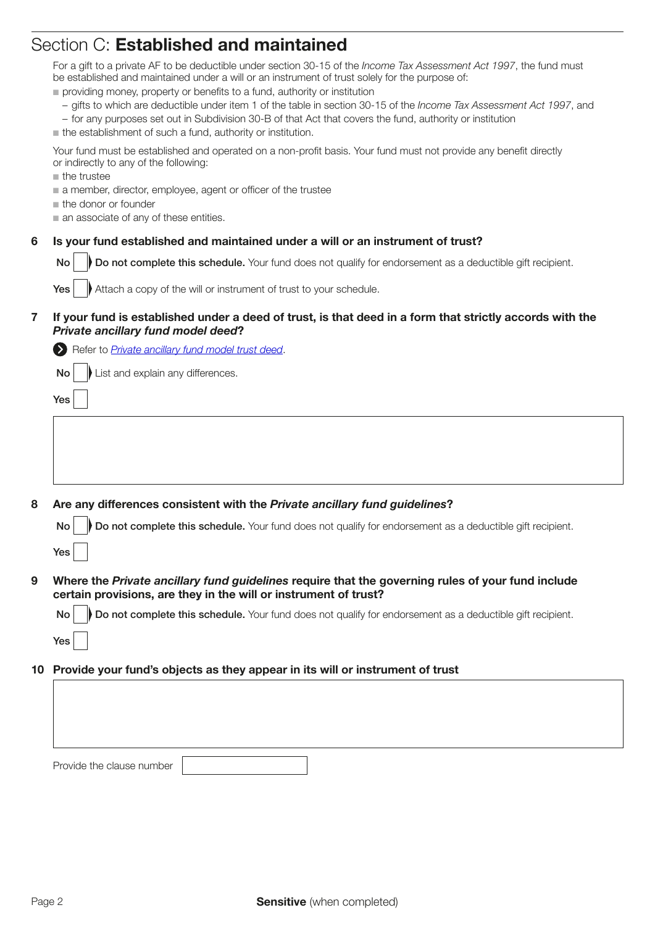# Section C: Established and maintained

|    | For a gift to a private AF to be deductible under section 30-15 of the Income Tax Assessment Act 1997, the fund must<br>be established and maintained under a will or an instrument of trust solely for the purpose of:<br>providing money, property or benefits to a fund, authority or institution<br>- gifts to which are deductible under item 1 of the table in section 30-15 of the Income Tax Assessment Act 1997, and<br>- for any purposes set out in Subdivision 30-B of that Act that covers the fund, authority or institution<br>the establishment of such a fund, authority or institution.<br>Your fund must be established and operated on a non-profit basis. Your fund must not provide any benefit directly<br>or indirectly to any of the following:<br>the trustee<br>a member, director, employee, agent or officer of the trustee<br>the donor or founder<br>an associate of any of these entities. |
|----|----------------------------------------------------------------------------------------------------------------------------------------------------------------------------------------------------------------------------------------------------------------------------------------------------------------------------------------------------------------------------------------------------------------------------------------------------------------------------------------------------------------------------------------------------------------------------------------------------------------------------------------------------------------------------------------------------------------------------------------------------------------------------------------------------------------------------------------------------------------------------------------------------------------------------|
|    | Is your fund established and maintained under a will or an instrument of trust?                                                                                                                                                                                                                                                                                                                                                                                                                                                                                                                                                                                                                                                                                                                                                                                                                                            |
| 6  |                                                                                                                                                                                                                                                                                                                                                                                                                                                                                                                                                                                                                                                                                                                                                                                                                                                                                                                            |
|    | Do not complete this schedule. Your fund does not qualify for endorsement as a deductible gift recipient.<br><b>No</b>                                                                                                                                                                                                                                                                                                                                                                                                                                                                                                                                                                                                                                                                                                                                                                                                     |
|    | Attach a copy of the will or instrument of trust to your schedule.<br>Yes                                                                                                                                                                                                                                                                                                                                                                                                                                                                                                                                                                                                                                                                                                                                                                                                                                                  |
| 7  | If your fund is established under a deed of trust, is that deed in a form that strictly accords with the<br>Private ancillary fund model deed?                                                                                                                                                                                                                                                                                                                                                                                                                                                                                                                                                                                                                                                                                                                                                                             |
|    | Refer to <b>Private ancillary fund model trust deed</b> .                                                                                                                                                                                                                                                                                                                                                                                                                                                                                                                                                                                                                                                                                                                                                                                                                                                                  |
|    | List and explain any differences.<br>No                                                                                                                                                                                                                                                                                                                                                                                                                                                                                                                                                                                                                                                                                                                                                                                                                                                                                    |
|    | Yes                                                                                                                                                                                                                                                                                                                                                                                                                                                                                                                                                                                                                                                                                                                                                                                                                                                                                                                        |
|    |                                                                                                                                                                                                                                                                                                                                                                                                                                                                                                                                                                                                                                                                                                                                                                                                                                                                                                                            |
|    |                                                                                                                                                                                                                                                                                                                                                                                                                                                                                                                                                                                                                                                                                                                                                                                                                                                                                                                            |
|    |                                                                                                                                                                                                                                                                                                                                                                                                                                                                                                                                                                                                                                                                                                                                                                                                                                                                                                                            |
|    |                                                                                                                                                                                                                                                                                                                                                                                                                                                                                                                                                                                                                                                                                                                                                                                                                                                                                                                            |
| 8  | Are any differences consistent with the Private ancillary fund guidelines?                                                                                                                                                                                                                                                                                                                                                                                                                                                                                                                                                                                                                                                                                                                                                                                                                                                 |
|    |                                                                                                                                                                                                                                                                                                                                                                                                                                                                                                                                                                                                                                                                                                                                                                                                                                                                                                                            |
|    | Do not complete this schedule. Your fund does not qualify for endorsement as a deductible gift recipient.<br>No                                                                                                                                                                                                                                                                                                                                                                                                                                                                                                                                                                                                                                                                                                                                                                                                            |
|    | Yes                                                                                                                                                                                                                                                                                                                                                                                                                                                                                                                                                                                                                                                                                                                                                                                                                                                                                                                        |
| 9  | Where the Private ancillary fund guidelines require that the governing rules of your fund include                                                                                                                                                                                                                                                                                                                                                                                                                                                                                                                                                                                                                                                                                                                                                                                                                          |
|    | certain provisions, are they in the will or instrument of trust?                                                                                                                                                                                                                                                                                                                                                                                                                                                                                                                                                                                                                                                                                                                                                                                                                                                           |
|    | Do not complete this schedule. Your fund does not qualify for endorsement as a deductible gift recipient.<br><b>No</b>                                                                                                                                                                                                                                                                                                                                                                                                                                                                                                                                                                                                                                                                                                                                                                                                     |
|    | Yes                                                                                                                                                                                                                                                                                                                                                                                                                                                                                                                                                                                                                                                                                                                                                                                                                                                                                                                        |
| 10 | Provide your fund's objects as they appear in its will or instrument of trust                                                                                                                                                                                                                                                                                                                                                                                                                                                                                                                                                                                                                                                                                                                                                                                                                                              |
|    |                                                                                                                                                                                                                                                                                                                                                                                                                                                                                                                                                                                                                                                                                                                                                                                                                                                                                                                            |
|    |                                                                                                                                                                                                                                                                                                                                                                                                                                                                                                                                                                                                                                                                                                                                                                                                                                                                                                                            |
|    |                                                                                                                                                                                                                                                                                                                                                                                                                                                                                                                                                                                                                                                                                                                                                                                                                                                                                                                            |
|    |                                                                                                                                                                                                                                                                                                                                                                                                                                                                                                                                                                                                                                                                                                                                                                                                                                                                                                                            |
|    | Provide the clause number                                                                                                                                                                                                                                                                                                                                                                                                                                                                                                                                                                                                                                                                                                                                                                                                                                                                                                  |
|    |                                                                                                                                                                                                                                                                                                                                                                                                                                                                                                                                                                                                                                                                                                                                                                                                                                                                                                                            |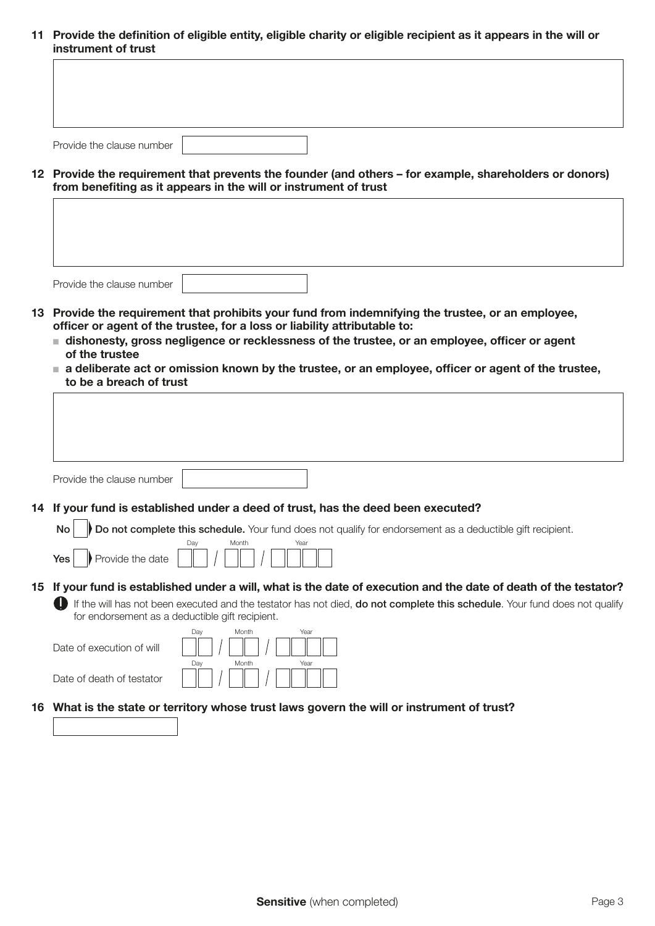11 Provide the definition of eligible entity, eligible charity or eligible recipient as it appears in the will or instrument of trust

| Provide the clause number |  |  |
|---------------------------|--|--|

12 Provide the requirement that prevents the founder (and others – for example, shareholders or donors) from benefiting as it appears in the will or instrument of trust

Provide the clause number

 $\sqrt{ }$ 

- 13 Provide the requirement that prohibits your fund from indemnifying the trustee, or an employee, officer or agent of the trustee, for a loss or liability attributable to:
	- $\blacksquare$  dishonesty, gross negligence or recklessness of the trustee, or an employee, officer or agent of the trustee
	- n a deliberate act or omission known by the trustee, or an employee, officer or agent of the trustee, to be a breach of trust

|    | Provide the clause number                                                                                                  |
|----|----------------------------------------------------------------------------------------------------------------------------|
|    |                                                                                                                            |
| 14 | If your fund is established under a deed of trust, has the deed been executed?                                             |
|    | Do not complete this schedule. Your fund does not qualify for endorsement as a deductible gift recipient.<br>No            |
|    | Month<br>Dav<br>Year                                                                                                       |
|    | Provide the date<br><b>Yes</b>                                                                                             |
| 15 | If your fund is established under a will, what is the date of execution and the date of death of the testator?             |
|    | If the will has not been executed and the testator has not died, do not complete this schedule. Your fund does not qualify |
|    | for endorsement as a deductible gift recipient.                                                                            |
|    | Month<br>Dav<br>Year                                                                                                       |
|    | Date of execution of will                                                                                                  |
|    | Month<br>Day<br>Year                                                                                                       |
|    | Date of death of testator                                                                                                  |
| 16 | What is the state or territory whose trust laws govern the will or instrument of trust?                                    |
|    |                                                                                                                            |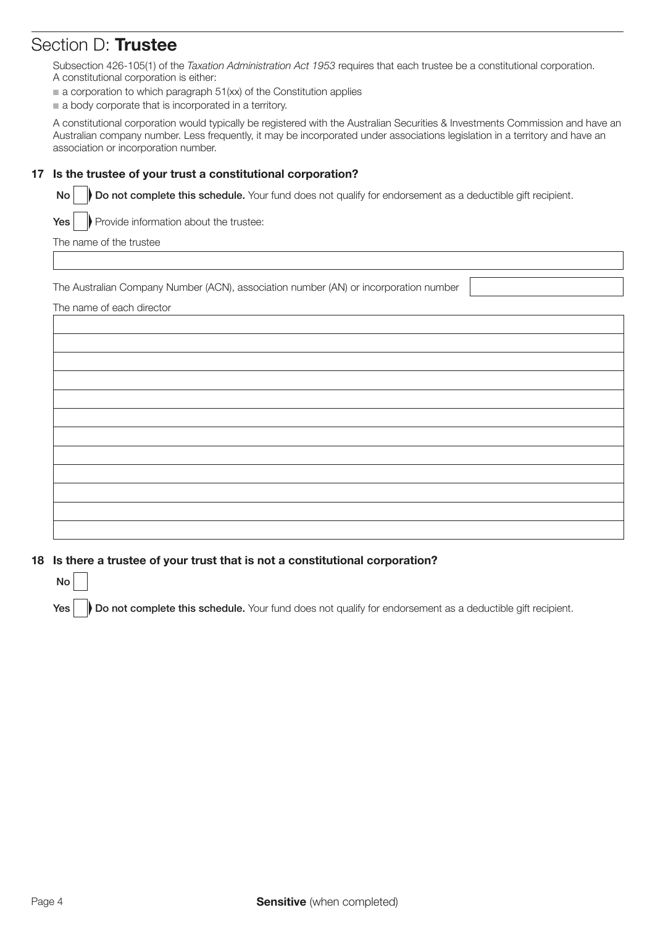# Section D: Trustee

Subsection 426-105(1) of the *Taxation Administration Act 1953* requires that each trustee be a constitutional corporation. A constitutional corporation is either:

- $\blacksquare$  a corporation to which paragraph 51(xx) of the Constitution applies
- $\blacksquare$  a body corporate that is incorporated in a territory.

A constitutional corporation would typically be registered with the Australian Securities & Investments Commission and have an Australian company number. Less frequently, it may be incorporated under associations legislation in a territory and have an association or incorporation number.

### 17 Is the trustee of your trust a constitutional corporation?

No **Do not complete this schedule.** Your fund does not qualify for endorsement as a deductible gift recipient.

 $Yes \parallel$  Provide information about the trustee:

The name of the trustee

The Australian Company Number (ACN), association number (AN) or incorporation number

The name of each director



### 18 Is there a trustee of your trust that is not a constitutional corporation?

No

Yes **Do not complete this schedule.** Your fund does not qualify for endorsement as a deductible gift recipient.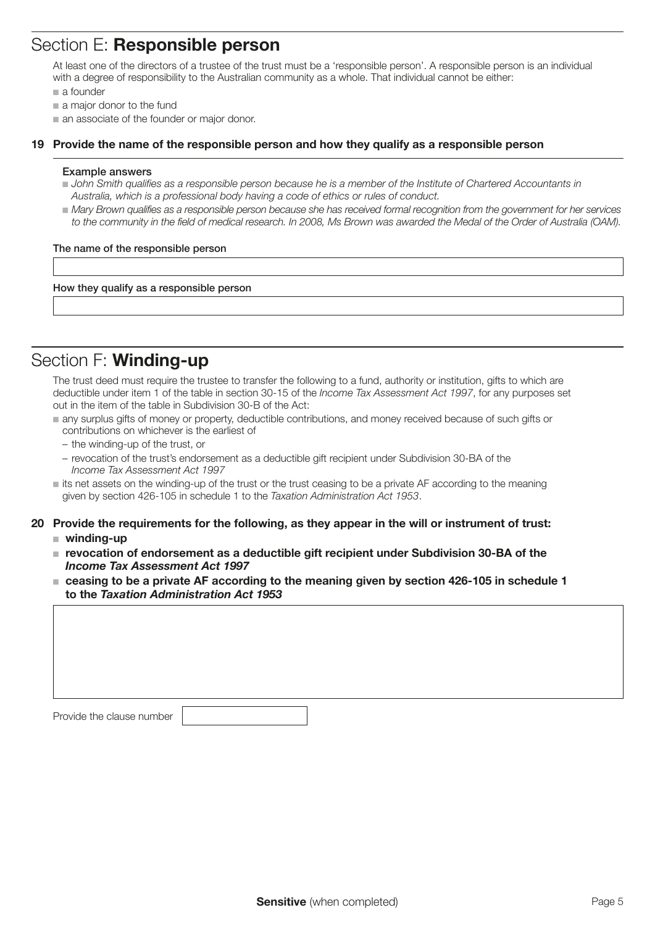## Section E: Responsible person

At least one of the directors of a trustee of the trust must be a 'responsible person'. A responsible person is an individual with a degree of responsibility to the Australian community as a whole. That individual cannot be either:

- $a$  founder
- $\blacksquare$  a major donor to the fund
- n an associate of the founder or major donor.

#### 19 Provide the name of the responsible person and how they qualify as a responsible person

#### Example answers

- **n** John Smith qualifies as a responsible person because he is a member of the Institute of Chartered Accountants in *Australia, which is a professional body having a code of ethics or rules of conduct.*
- **Mary Brown qualifies as a responsible person because she has received formal recognition from the government for her services** to the community in the field of medical research. In 2008, Ms Brown was awarded the Medal of the Order of Australia (OAM).

#### The name of the responsible person

How they qualify as a responsible person

# Section F: Winding-up

The trust deed must require the trustee to transfer the following to a fund, authority or institution, gifts to which are deductible under item 1 of the table in section 30-15 of the *Income Tax Assessment Act 1997*, for any purposes set out in the item of the table in Subdivision 30-B of the Act:

- n any surplus gifts of money or property, deductible contributions, and money received because of such gifts or contributions on whichever is the earliest of
	- the winding-up of the trust, or
	- revocation of the trust's endorsement as a deductible gift recipient under Subdivision 30-BA of the Income Tax Assessment Act 1997
- $\blacksquare$  its net assets on the winding-up of the trust or the trust ceasing to be a private AF according to the meaning given by section 426-105 in schedule 1 to the *Taxation Administration Act 1953*.
- 20 Provide the requirements for the following, as they appear in the will or instrument of trust:
	- $\blacksquare$  winding-up
	- revocation of endorsement as a deductible gift recipient under Subdivision 30-BA of the Income Tax Assessment Act 1997
	- ceasing to be a private AF according to the meaning given by section 426-105 in schedule 1 to the Taxation Administration Act 1953

| Provide the clause number |  |
|---------------------------|--|
|                           |  |